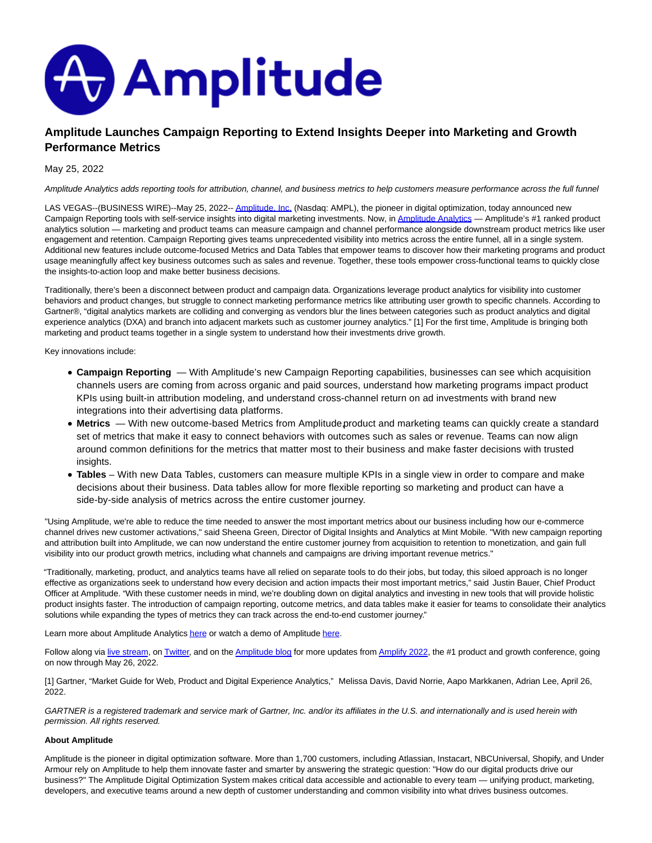

## **Amplitude Launches Campaign Reporting to Extend Insights Deeper into Marketing and Growth Performance Metrics**

## May 25, 2022

Amplitude Analytics adds reporting tools for attribution, channel, and business metrics to help customers measure performance across the full funnel

LAS VEGAS--(BUSINESS WIRE)--May 25, 2022-[- Amplitude, Inc. \(](https://cts.businesswire.com/ct/CT?id=smartlink&url=https%3A%2F%2Famplitude.com%2F&esheet=52724767&newsitemid=20220525005007&lan=en-US&anchor=Amplitude%2C+Inc.&index=1&md5=d0a34c500898cdc59ecaa7870b77f91c)Nasdaq: AMPL), the pioneer in digital optimization, today announced new Campaign Reporting tools with self-service insights into digital marketing investments. Now, in Amplitude Analytics - Amplitude's #1 ranked product analytics solution — marketing and product teams can measure campaign and channel performance alongside downstream product metrics like user engagement and retention. Campaign Reporting gives teams unprecedented visibility into metrics across the entire funnel, all in a single system. Additional new features include outcome-focused Metrics and Data Tables that empower teams to discover how their marketing programs and product usage meaningfully affect key business outcomes such as sales and revenue. Together, these tools empower cross-functional teams to quickly close the insights-to-action loop and make better business decisions.

Traditionally, there's been a disconnect between product and campaign data. Organizations leverage product analytics for visibility into customer behaviors and product changes, but struggle to connect marketing performance metrics like attributing user growth to specific channels. According to Gartner®, "digital analytics markets are colliding and converging as vendors blur the lines between categories such as product analytics and digital experience analytics (DXA) and branch into adjacent markets such as customer journey analytics." [1] For the first time, Amplitude is bringing both marketing and product teams together in a single system to understand how their investments drive growth.

Key innovations include:

- **Campaign Reporting**  With Amplitude's new Campaign Reporting capabilities, businesses can see which acquisition channels users are coming from across organic and paid sources, understand how marketing programs impact product KPIs using built-in attribution modeling, and understand cross-channel return on ad investments with brand new integrations into their advertising data platforms.
- Metrics With new outcome-based Metrics from Amplitude product and marketing teams can quickly create a standard set of metrics that make it easy to connect behaviors with outcomes such as sales or revenue. Teams can now align around common definitions for the metrics that matter most to their business and make faster decisions with trusted insights.
- **Tables** With new Data Tables, customers can measure multiple KPIs in a single view in order to compare and make decisions about their business. Data tables allow for more flexible reporting so marketing and product can have a side-by-side analysis of metrics across the entire customer journey.

"Using Amplitude, we're able to reduce the time needed to answer the most important metrics about our business including how our e-commerce channel drives new customer activations," said Sheena Green, Director of Digital Insights and Analytics at Mint Mobile. "With new campaign reporting and attribution built into Amplitude, we can now understand the entire customer journey from acquisition to retention to monetization, and gain full visibility into our product growth metrics, including what channels and campaigns are driving important revenue metrics."

"Traditionally, marketing, product, and analytics teams have all relied on separate tools to do their jobs, but today, this siloed approach is no longer effective as organizations seek to understand how every decision and action impacts their most important metrics," said Justin Bauer, Chief Product Officer at Amplitude. "With these customer needs in mind, we're doubling down on digital analytics and investing in new tools that will provide holistic product insights faster. The introduction of campaign reporting, outcome metrics, and data tables make it easier for teams to consolidate their analytics solutions while expanding the types of metrics they can track across the end-to-end customer journey."

Learn more about Amplitude Analytic[s here o](https://cts.businesswire.com/ct/CT?id=smartlink&url=https%3A%2F%2Famplitude.com%2Famplitude-analytics&esheet=52724767&newsitemid=20220525005007&lan=en-US&anchor=here&index=3&md5=646b0f6c2d492e3fe246e00ee8d0e9b6)r watch a demo of Amplitud[e here.](https://cts.businesswire.com/ct/CT?id=smartlink&url=https%3A%2F%2Finfo.amplitude.com%2Fwatch-amplitude-demo&esheet=52724767&newsitemid=20220525005007&lan=en-US&anchor=here&index=4&md5=400609e099dbfd9f7c6c729683ca713d)

Follow along via [live stream,](https://cts.businesswire.com/ct/CT?id=smartlink&url=https%3A%2F%2Famplitude.com%2Famplify&esheet=52724767&newsitemid=20220525005007&lan=en-US&anchor=live+stream&index=5&md5=c6cdbb24b97b0075a3c1078b074f168a) o[n Twitter,](https://cts.businesswire.com/ct/CT?id=smartlink&url=https%3A%2F%2Ftwitter.com%2FAmplitude_HQ&esheet=52724767&newsitemid=20220525005007&lan=en-US&anchor=Twitter&index=6&md5=aa67a7a3a82d8ba1ba2ee8cba22ae695) and on th[e Amplitude blog f](https://cts.businesswire.com/ct/CT?id=smartlink&url=https%3A%2F%2Famplitude.com%2Fblog%2F&esheet=52724767&newsitemid=20220525005007&lan=en-US&anchor=Amplitude+blog&index=7&md5=a0541dc8d74a840a5603e1dcc046113c)or more updates from [Amplify 2022,](https://cts.businesswire.com/ct/CT?id=smartlink&url=https%3A%2F%2Famplitude.com%2Famplify&esheet=52724767&newsitemid=20220525005007&lan=en-US&anchor=Amplify+2022&index=8&md5=f82ce038a963f22988f9fc2990f08456) the #1 product and growth conference, going on now through May 26, 2022.

[1] Gartner, "Market Guide for Web, Product and Digital Experience Analytics," Melissa Davis, David Norrie, Aapo Markkanen, Adrian Lee, April 26, 2022.

GARTNER is a registered trademark and service mark of Gartner, Inc. and/or its affiliates in the U.S. and internationally and is used herein with permission. All rights reserved.

## **About Amplitude**

Amplitude is the pioneer in digital optimization software. More than 1,700 customers, including Atlassian, Instacart, NBCUniversal, Shopify, and Under Armour rely on Amplitude to help them innovate faster and smarter by answering the strategic question: "How do our digital products drive our business?" The Amplitude Digital Optimization System makes critical data accessible and actionable to every team — unifying product, marketing, developers, and executive teams around a new depth of customer understanding and common visibility into what drives business outcomes.